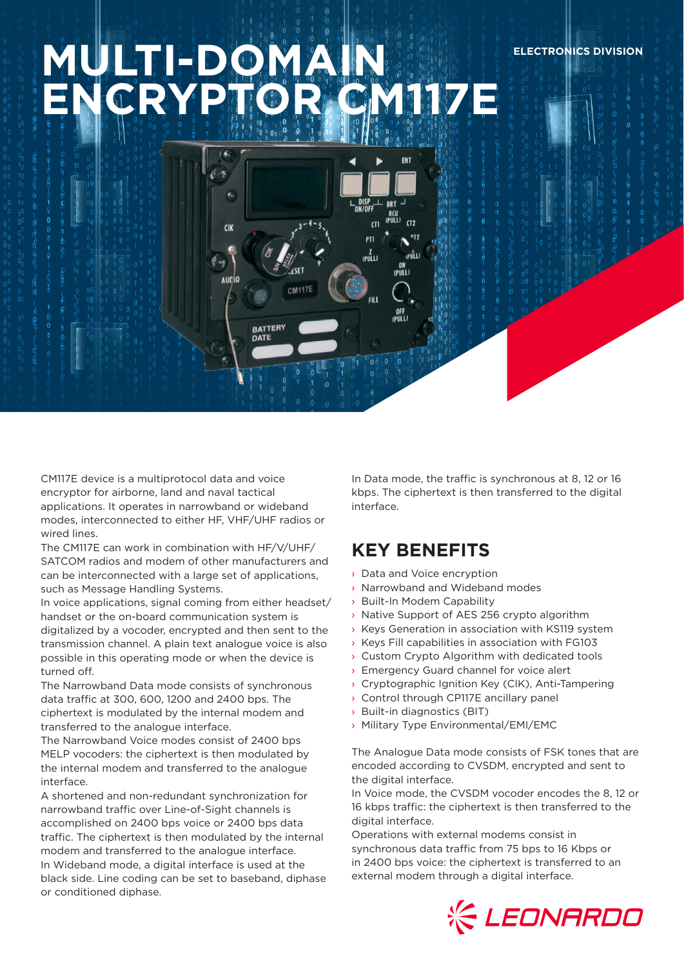# **MULTI-DOMAIN ENCRYPTOR CORTECT**

**BATTERY** DATE

é.

**CIK** 

CM117E device is a multiprotocol data and voice encryptor for airborne, land and naval tactical applications. It operates in narrowband or wideband modes, interconnected to either HF, VHF/UHF radios or wired lines.

The CM117E can work in combination with HF/V/UHF/ SATCOM radios and modem of other manufacturers and can be interconnected with a large set of applications, such as Message Handling Systems.

In voice applications, signal coming from either headset/ handset or the on-board communication system is digitalized by a vocoder, encrypted and then sent to the transmission channel. A plain text analogue voice is also possible in this operating mode or when the device is turned off.

The Narrowband Data mode consists of synchronous data traffic at 300, 600, 1200 and 2400 bps. The ciphertext is modulated by the internal modem and transferred to the analogue interface.

The Narrowband Voice modes consist of 2400 bps MELP vocoders: the ciphertext is then modulated by the internal modem and transferred to the analogue interface.

A shortened and non-redundant synchronization for narrowband traffic over Line-of-Sight channels is accomplished on 2400 bps voice or 2400 bps data traffic. The ciphertext is then modulated by the internal modem and transferred to the analogue interface. In Wideband mode, a digital interface is used at the black side. Line coding can be set to baseband, diphase or conditioned diphase.

In Data mode, the traffic is synchronous at 8, 12 or 16 kbps. The ciphertext is then transferred to the digital interface.

**ELECTRONICS DIVISION**

## **KEY BENEFITS**

ENT

 $\overline{C}$ 

 $0T5$ 

າຍແັບ ON<br>(PULL)

OFF<br>PULL)

ווער<br>נושיו  $\overline{m}$ 

PTI เคนี่เม

- › Data and Voice encryption
- › Narrowband and Wideband modes
- › Built-In Modem Capability
- › Native Support of AES 256 crypto algorithm
- › Keys Generation in association with KS119 system
- › Keys Fill capabilities in association with FG103
- Custom Crypto Algorithm with dedicated tools
- › Emergency Guard channel for voice alert
- › Cryptographic Ignition Key (CIK), Anti-Tampering
- › Control through CP117E ancillary panel
- › Built-in diagnostics (BIT)
- › Military Type Environmental/EMI/EMC

The Analogue Data mode consists of FSK tones that are encoded according to CVSDM, encrypted and sent to the digital interface.

In Voice mode, the CVSDM vocoder encodes the 8, 12 or 16 kbps traffic: the ciphertext is then transferred to the digital interface.

Operations with external modems consist in synchronous data traffic from 75 bps to 16 Kbps or in 2400 bps voice: the ciphertext is transferred to an external modem through a digital interface.